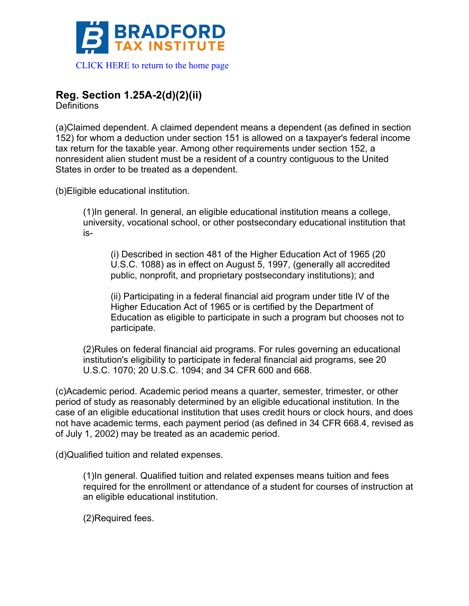

## **Reg. Section 1.25A-2(d)(2)(ii)**

**Definitions** 

(a)Claimed dependent. A claimed dependent means a dependent (as defined in section 152) for whom a deduction under section 151 is allowed on a taxpayer's federal income tax return for the taxable year. Among other requirements under section 152, a nonresident alien student must be a resident of a country contiguous to the United States in order to be treated as a dependent.

(b)Eligible educational institution.

(1)In general. In general, an eligible educational institution means a college, university, vocational school, or other postsecondary educational institution that is-

(i) Described in section 481 of the Higher Education Act of 1965 (20 U.S.C. 1088) as in effect on August 5, 1997, (generally all accredited public, nonprofit, and proprietary postsecondary institutions); and

(ii) Participating in a federal financial aid program under title IV of the Higher Education Act of 1965 or is certified by the Department of Education as eligible to participate in such a program but chooses not to participate.

(2)Rules on federal financial aid programs. For rules governing an educational institution's eligibility to participate in federal financial aid programs, see 20 U.S.C. 1070; 20 U.S.C. 1094; and 34 CFR 600 and 668.

(c)Academic period. Academic period means a quarter, semester, trimester, or other period of study as reasonably determined by an eligible educational institution. In the case of an eligible educational institution that uses credit hours or clock hours, and does not have academic terms, each payment period (as defined in 34 CFR 668.4, revised as of July 1, 2002) may be treated as an academic period.

(d)Qualified tuition and related expenses.

(1)In general. Qualified tuition and related expenses means tuition and fees required for the enrollment or attendance of a student for courses of instruction at an eligible educational institution.

(2)Required fees.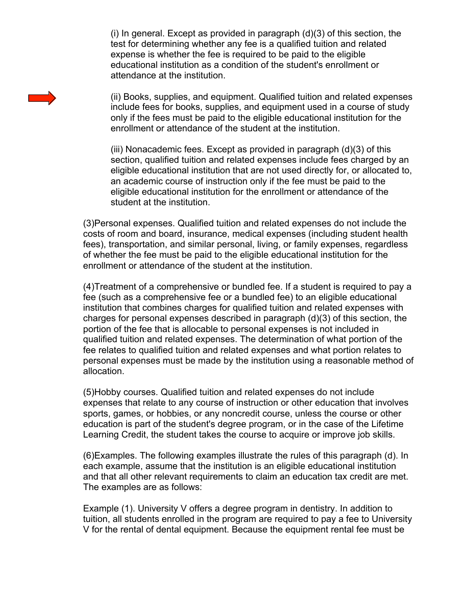(i) In general. Except as provided in paragraph (d)(3) of this section, the test for determining whether any fee is a qualified tuition and related expense is whether the fee is required to be paid to the eligible educational institution as a condition of the student's enrollment or attendance at the institution.

(ii) Books, supplies, and equipment. Qualified tuition and related expenses include fees for books, supplies, and equipment used in a course of study only if the fees must be paid to the eligible educational institution for the enrollment or attendance of the student at the institution.

(iii) Nonacademic fees. Except as provided in paragraph (d)(3) of this section, qualified tuition and related expenses include fees charged by an eligible educational institution that are not used directly for, or allocated to, an academic course of instruction only if the fee must be paid to the eligible educational institution for the enrollment or attendance of the student at the institution.

(3)Personal expenses. Qualified tuition and related expenses do not include the costs of room and board, insurance, medical expenses (including student health fees), transportation, and similar personal, living, or family expenses, regardless of whether the fee must be paid to the eligible educational institution for the enrollment or attendance of the student at the institution.

(4)Treatment of a comprehensive or bundled fee. If a student is required to pay a fee (such as a comprehensive fee or a bundled fee) to an eligible educational institution that combines charges for qualified tuition and related expenses with charges for personal expenses described in paragraph (d)(3) of this section, the portion of the fee that is allocable to personal expenses is not included in qualified tuition and related expenses. The determination of what portion of the fee relates to qualified tuition and related expenses and what portion relates to personal expenses must be made by the institution using a reasonable method of allocation.

(5)Hobby courses. Qualified tuition and related expenses do not include expenses that relate to any course of instruction or other education that involves sports, games, or hobbies, or any noncredit course, unless the course or other education is part of the student's degree program, or in the case of the Lifetime Learning Credit, the student takes the course to acquire or improve job skills.

(6)Examples. The following examples illustrate the rules of this paragraph (d). In each example, assume that the institution is an eligible educational institution and that all other relevant requirements to claim an education tax credit are met. The examples are as follows:

Example (1). University V offers a degree program in dentistry. In addition to tuition, all students enrolled in the program are required to pay a fee to University V for the rental of dental equipment. Because the equipment rental fee must be